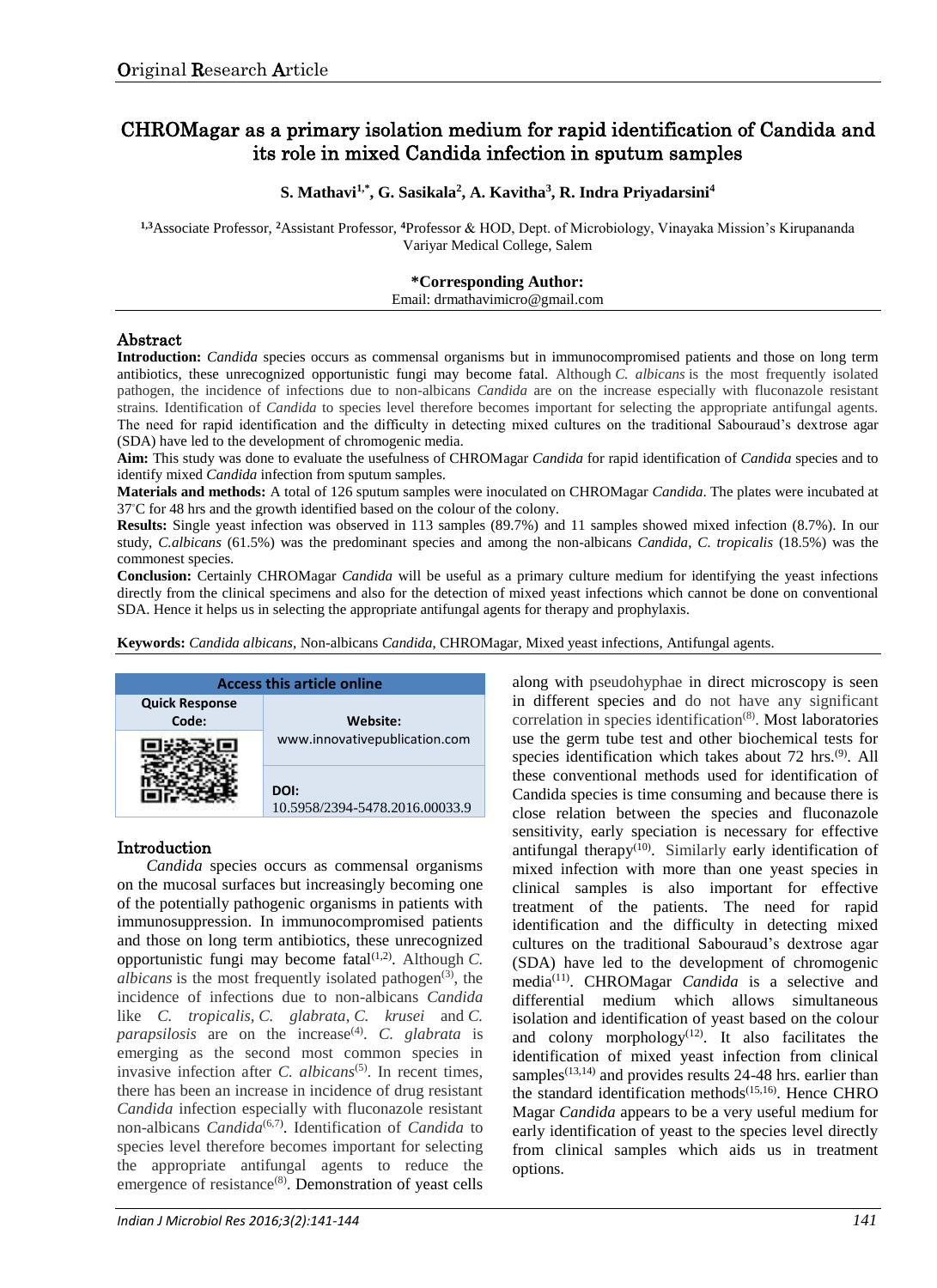# CHROMagar as a primary isolation medium for rapid identification of Candida and its role in mixed Candida infection in sputum samples

## **S. Mathavi1,\*, G. Sasikala<sup>2</sup> , A. Kavitha<sup>3</sup> , R. Indra Priyadarsini<sup>4</sup>**

**1,3**Associate Professor, **<sup>2</sup>**Assistant Professor, **<sup>4</sup>**Professor & HOD, Dept. of Microbiology, Vinayaka Mission's Kirupananda Variyar Medical College, Salem

#### **\*Corresponding Author:**

Email: drmathavimicro@gmail.com

#### Abstract

**Introduction:** *Candida* species occurs as commensal organisms but in immunocompromised patients and those on long term antibiotics, these unrecognized opportunistic fungi may become fatal. Although *C. albicans* is the most frequently isolated pathogen, the incidence of infections due to non-albicans *Candida* are on the increase especially with fluconazole resistant strains*.* Identification of *Candida* to species level therefore becomes important for selecting the appropriate antifungal agents. The need for rapid identification and the difficulty in detecting mixed cultures on the traditional Sabouraud's dextrose agar (SDA) have led to the development of chromogenic media.

**Aim:** This study was done to evaluate the usefulness of CHROMagar *Candida* for rapid identification of *Candida* species and to identify mixed *Candida* infection from sputum samples.

**Materials and methods:** A total of 126 sputum samples were inoculated on CHROMagar *Candida*. The plates were incubated at 37◦C for 48 hrs and the growth identified based on the colour of the colony.

**Results:** Single yeast infection was observed in 113 samples (89.7%) and 11 samples showed mixed infection (8.7%). In our study, *C.albicans* (61.5%) was the predominant species and among the non-albicans *Candida*, *C. tropicalis* (18.5%) was the commonest species.

**Conclusion:** Certainly CHROMagar *Candida* will be useful as a primary culture medium for identifying the yeast infections directly from the clinical specimens and also for the detection of mixed yeast infections which cannot be done on conventional SDA. Hence it helps us in selecting the appropriate antifungal agents for therapy and prophylaxis.

**Keywords:** *Candida albicans*, Non-albicans *Candida*, CHROMagar, Mixed yeast infections, Antifungal agents.



# Introduction

*Candida* species occurs as commensal organisms on the mucosal surfaces but increasingly becoming one of the potentially pathogenic organisms in patients with immunosuppression. In immunocompromised patients and those on long term antibiotics, these unrecognized opportunistic fungi may become fatal<sup>(1,2)</sup>. Although *C*. *albicans* is the most frequently isolated pathogen<sup> $(3)$ </sup>, the incidence of infections due to non-albicans *Candida* like *C. tropicalis*, *C. glabrata*, *C. krusei* and *C. parapsilosis* are on the increase<sup>(4)</sup>. C. *glabrata* is emerging as the second most common species in invasive infection after *C. albicans*<sup>(5)</sup>. In recent times, there has been an increase in incidence of drug resistant *Candida* infection especially with fluconazole resistant non-albicans *Candida*(6,7) . Identification of *Candida* to species level therefore becomes important for selecting the appropriate antifungal agents to reduce the emergence of resistance<sup>(8)</sup>. Demonstration of yeast cells along with pseudohyphae in direct microscopy is seen in different species and do not have any significant correlation in species identification<sup>(8)</sup>. Most laboratories use the germ tube test and other biochemical tests for species identification which takes about 72 hrs.<sup>(9)</sup>. All these conventional methods used for identification of Candida species is time consuming and because there is close relation between the species and fluconazole sensitivity, early speciation is necessary for effective antifungal therapy $(10)$ . Similarly early identification of mixed infection with more than one yeast species in clinical samples is also important for effective treatment of the patients. The need for rapid identification and the difficulty in detecting mixed cultures on the traditional Sabouraud's dextrose agar (SDA) have led to the development of chromogenic media(11) . CHROMagar *Candida* is a selective and differential medium which allows simultaneous isolation and identification of yeast based on the colour and colony morphology $(12)$ . It also facilitates the identification of mixed yeast infection from clinical samples<sup>(13,14)</sup> and provides results 24-48 hrs. earlier than the standard identification methods<sup>(15,16)</sup>. Hence CHRO Magar *Candida* appears to be a very useful medium for early identification of yeast to the species level directly from clinical samples which aids us in treatment options.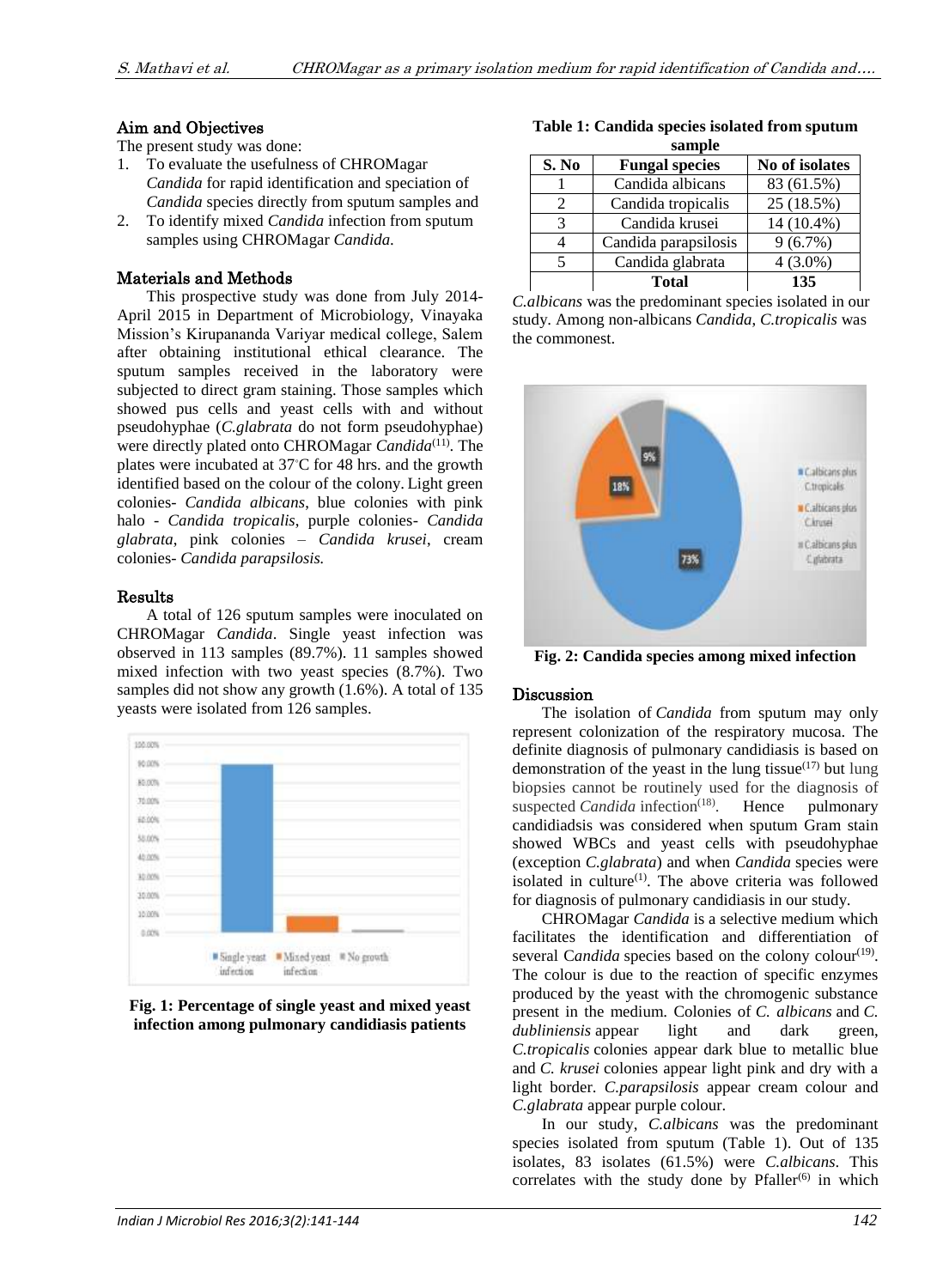## Aim and Objectives

The present study was done:

- 1. To evaluate the usefulness of CHROMagar *Candida* for rapid identification and speciation of *Candida* species directly from sputum samples and
- 2. To identify mixed *Candida* infection from sputum samples using CHROMagar *Candida*.

## Materials and Methods

This prospective study was done from July 2014- April 2015 in Department of Microbiology, Vinayaka Mission's Kirupananda Variyar medical college, Salem after obtaining institutional ethical clearance. The sputum samples received in the laboratory were subjected to direct gram staining. Those samples which showed pus cells and yeast cells with and without pseudohyphae (*C.glabrata* do not form pseudohyphae) were directly plated onto CHROMagar *Candida*<sup>(11)</sup>. The plates were incubated at 37◦C for 48 hrs. and the growth identified based on the colour of the colony. Light green colonies- *Candida albicans*, blue colonies with pink halo - *Candida tropicalis*, purple colonies- *Candida glabrata*, pink colonies – *Candida krusei*, cream colonies- *Candida parapsilosis.*

#### Results

A total of 126 sputum samples were inoculated on CHROMagar *Candida*. Single yeast infection was observed in 113 samples (89.7%). 11 samples showed mixed infection with two yeast species (8.7%). Two samples did not show any growth (1.6%). A total of 135 yeasts were isolated from 126 samples.



**Fig. 1: Percentage of single yeast and mixed yeast infection among pulmonary candidiasis patients**

**Table 1: Candida species isolated from sputum sample**

| зашріс |                       |                |
|--------|-----------------------|----------------|
| S. No  | <b>Fungal species</b> | No of isolates |
|        | Candida albicans      | 83 (61.5%)     |
|        | Candida tropicalis    | 25 (18.5%)     |
| 3      | Candida krusei        | 14 (10.4%)     |
|        | Candida parapsilosis  | $9(6.7\%)$     |
| 5      | Candida glabrata      | $4(3.0\%)$     |
|        | Total                 | 135            |

*C.albicans* was the predominant species isolated in our study. Among non-albicans *Candida*, *C.tropicalis* was the commonest.



**Fig. 2: Candida species among mixed infection**

# Discussion

The isolation of *Candida* from sputum may only represent colonization of the respiratory mucosa. The definite diagnosis of pulmonary candidiasis is based on demonstration of the yeast in the lung tissue $(17)$  but lung biopsies cannot be routinely used for the diagnosis of suspected *Candida* infection<sup>(18)</sup>. Hence pulmonary candidiadsis was considered when sputum Gram stain showed WBCs and yeast cells with pseudohyphae (exception *C.glabrata*) and when *Candida* species were isolated in culture<sup>(1)</sup>. The above criteria was followed for diagnosis of pulmonary candidiasis in our study.

CHROMagar *Candida* is a selective medium which facilitates the identification and differentiation of several Candida species based on the colony colour<sup>(19)</sup>. The colour is due to the reaction of specific enzymes produced by the yeast with the chromogenic substance present in the medium. Colonies of *C. albicans* and *C. dubliniensis* appear light and dark green, *C.tropicalis* colonies appear dark blue to metallic blue and *C. krusei* colonies appear light pink and dry with a light border. *C.parapsilosis* appear cream colour and *C.glabrata* appear purple colour.

In our study, *C.albicans* was the predominant species isolated from sputum (Table 1). Out of 135 isolates, 83 isolates (61.5%) were *C.albicans*. This correlates with the study done by  $Pfaller^{(6)}$  in which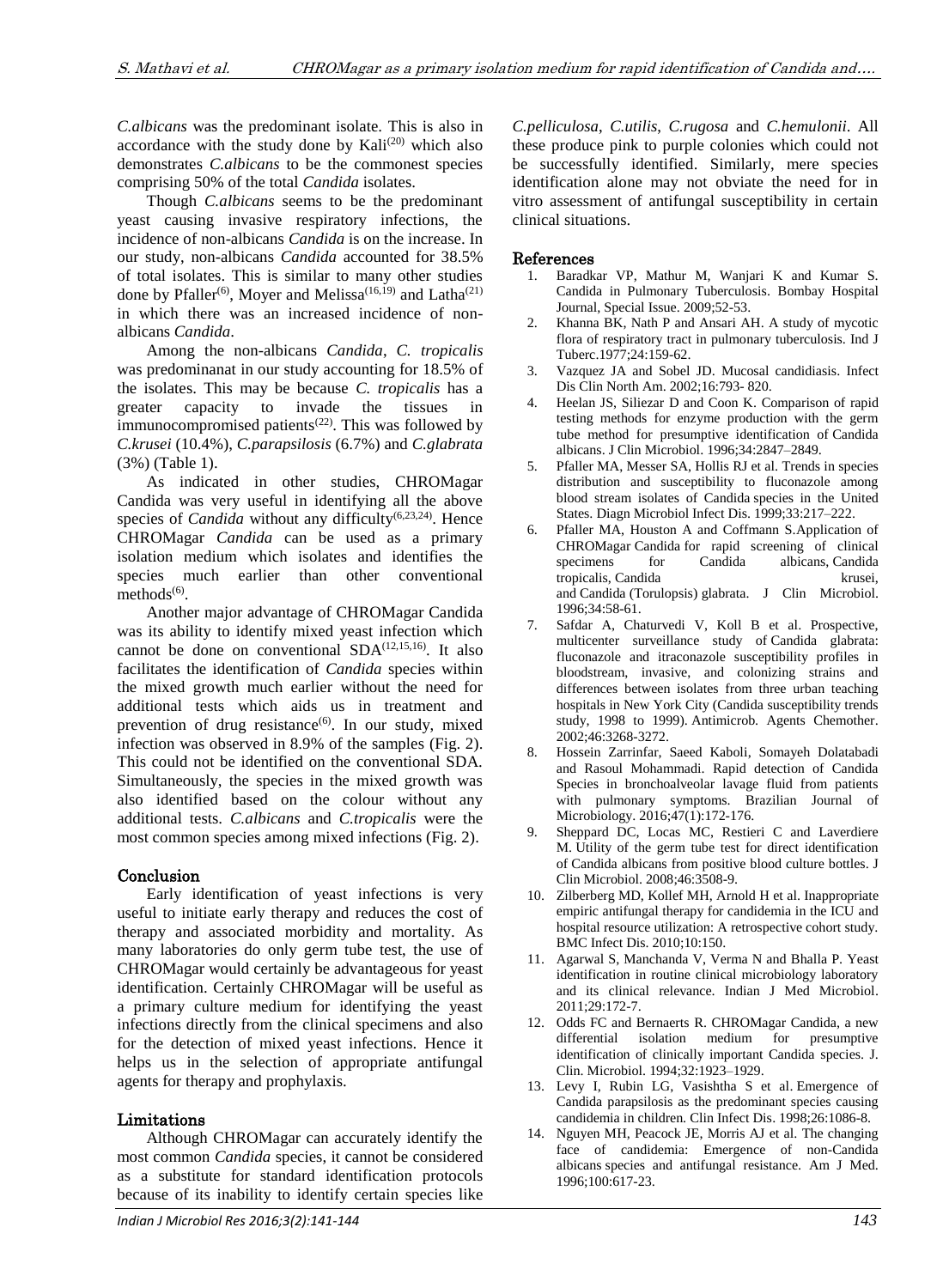*C.albicans* was the predominant isolate. This is also in accordance with the study done by  $Kali^{(20)}$  which also demonstrates *C.albicans* to be the commonest species comprising 50% of the total *Candida* isolates.

Though *C.albicans* seems to be the predominant yeast causing invasive respiratory infections, the incidence of non-albicans *Candida* is on the increase. In our study, non-albicans *Candida* accounted for 38.5% of total isolates. This is similar to many other studies done by Pfaller<sup>(6)</sup>, Moyer and Melissa<sup>(16,19)</sup> and Latha<sup>(21)</sup> in which there was an increased incidence of nonalbicans *Candida*.

Among the non-albicans *Candida*, *C. tropicalis* was predominanat in our study accounting for 18.5% of the isolates. This may be because *C. tropicalis* has a greater capacity to invade the tissues in immunocompromised patients<sup> $(22)$ </sup>. This was followed by *C.krusei* (10.4%), *C.parapsilosis* (6.7%) and *C.glabrata* (3%) (Table 1).

As indicated in other studies, CHROMagar Candida was very useful in identifying all the above species of *Candida* without any difficulty<sup>(6,23,24)</sup>. Hence CHROMagar *Candida* can be used as a primary isolation medium which isolates and identifies the species much earlier than other conventional  $methods<sup>(6)</sup>.$ 

Another major advantage of CHROMagar Candida was its ability to identify mixed yeast infection which cannot be done on conventional  $SDA^{(12,15,16)}$ . It also facilitates the identification of *Candida* species within the mixed growth much earlier without the need for additional tests which aids us in treatment and prevention of drug resistance<sup>(6)</sup>. In our study, mixed infection was observed in 8.9% of the samples (Fig. 2). This could not be identified on the conventional SDA. Simultaneously, the species in the mixed growth was also identified based on the colour without any additional tests. *C.albicans* and *C.tropicalis* were the most common species among mixed infections (Fig. 2).

# Conclusion

Early identification of yeast infections is very useful to initiate early therapy and reduces the cost of therapy and associated morbidity and mortality. As many laboratories do only germ tube test, the use of CHROMagar would certainly be advantageous for yeast identification. Certainly CHROMagar will be useful as a primary culture medium for identifying the yeast infections directly from the clinical specimens and also for the detection of mixed yeast infections. Hence it helps us in the selection of appropriate antifungal agents for therapy and prophylaxis.

# Limitations

Although CHROMagar can accurately identify the most common *Candida* species, it cannot be considered as a substitute for standard identification protocols because of its inability to identify certain species like

*C.pelliculosa*, *C.utilis*, *C.rugosa* and *C.hemulonii*. All these produce pink to purple colonies which could not be successfully identified. Similarly, mere species identification alone may not obviate the need for in vitro assessment of antifungal susceptibility in certain clinical situations.

#### References

- 1. Baradkar VP, Mathur M, Wanjari K and Kumar S. Candida in Pulmonary Tuberculosis. Bombay Hospital Journal, Special Issue. 2009;52-53.
- 2. Khanna BK, Nath P and Ansari AH. A study of mycotic flora of respiratory tract in pulmonary tuberculosis. Ind J Tuberc.1977;24:159-62.
- 3. Vazquez JA and Sobel JD. Mucosal candidiasis. Infect Dis Clin North Am. 2002;16:793- 820.
- 4. Heelan JS, Siliezar D and Coon K. Comparison of rapid testing methods for enzyme production with the germ tube method for presumptive identification of Candida albicans. J Clin Microbiol. 1996;34:2847–2849.
- 5. Pfaller MA, Messer SA, Hollis RJ et al. Trends in species distribution and susceptibility to fluconazole among blood stream isolates of Candida species in the United States. Diagn Microbiol Infect Dis. 1999;33:217–222.
- 6. Pfaller MA, Houston A and Coffmann S.Application of CHROMagar Candida for rapid screening of clinical specimens for Candida albicans, Candida tropicalis, Candida krusei, and Candida (Torulopsis) glabrata. J Clin Microbiol. 1996;34:58-61.
- 7. Safdar A, Chaturvedi V, Koll B et al. Prospective, multicenter surveillance study of Candida glabrata: fluconazole and itraconazole susceptibility profiles in bloodstream, invasive, and colonizing strains and differences between isolates from three urban teaching hospitals in New York City (Candida susceptibility trends study, 1998 to 1999). Antimicrob. Agents Chemother. 2002;46:3268-3272.
- 8. Hossein Zarrinfar, Saeed Kaboli, Somayeh Dolatabadi and Rasoul Mohammadi. Rapid detection of Candida Species in bronchoalveolar lavage fluid from patients with pulmonary symptoms. Brazilian Journal of Microbiology. 2016;47(1):172-176.
- 9. Sheppard DC, Locas MC, Restieri C and Laverdiere M. Utility of the germ tube test for direct identification of Candida albicans from positive blood culture bottles. J Clin Microbiol. 2008;46:3508-9.
- 10. Zilberberg MD, Kollef MH, Arnold H et al. Inappropriate empiric antifungal therapy for candidemia in the ICU and hospital resource utilization: A retrospective cohort study. BMC Infect Dis. 2010;10:150.
- 11. Agarwal S, Manchanda V, Verma N and Bhalla P. Yeast identification in routine clinical microbiology laboratory and its clinical relevance. Indian J Med Microbiol. 2011;29:172-7.
- 12. Odds FC and Bernaerts R. CHROMagar Candida, a new differential isolation medium for presumptive identification of clinically important Candida species. J. Clin. Microbiol. 1994;32:1923–1929.
- 13. Levy I, Rubin LG, Vasishtha S et al. Emergence of Candida parapsilosis as the predominant species causing candidemia in children. Clin Infect Dis. 1998;26:1086-8.
- 14. Nguyen MH, Peacock JE, Morris AJ et al. The changing face of candidemia: Emergence of non-Candida albicans species and antifungal resistance. Am J Med. 1996;100:617-23.